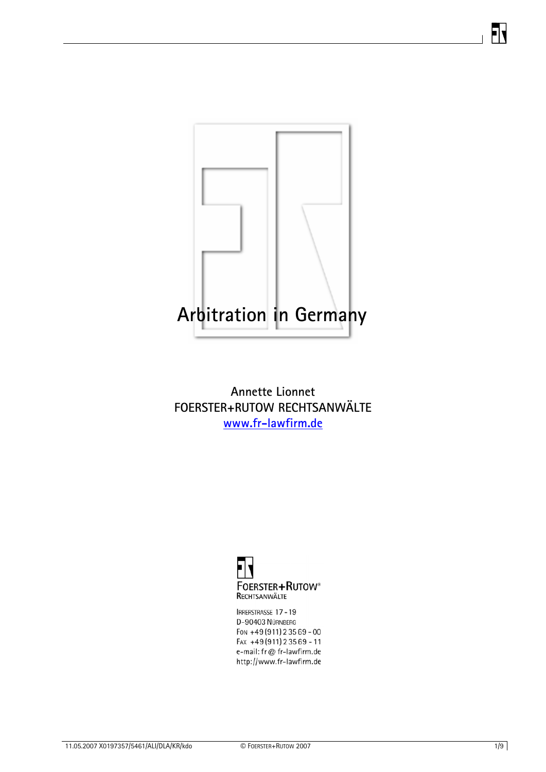

**Annette Lionnet FOERSTER+RUTOW RECHTSANWÄLTE [www.fr-lawfirm.de](http://www.fr-lawfirm.de/)** 



IRRERSTRASSE 17-19 D-90403 NÜRNBERG Fon +49 (911) 235 69 - 00 FAX +49(911) 23569 - 11 e-mail: fr@ fr-lawfirm.de http://www.fr-lawfirm.de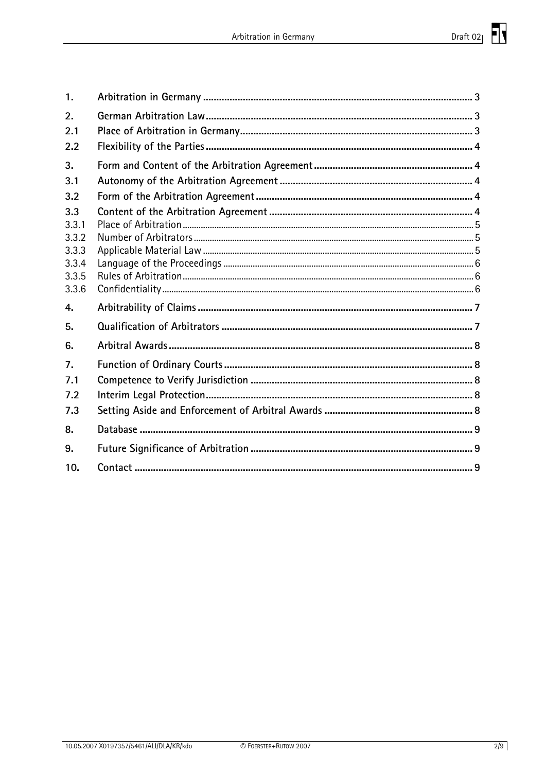| 1.               |  |
|------------------|--|
| 2.               |  |
| 2.1              |  |
| 2.2              |  |
| 3.               |  |
| 3.1              |  |
| 3.2              |  |
| 3.3              |  |
| 3.3.1            |  |
| 3.3.2<br>3.3.3   |  |
| 3.3.4            |  |
| 3.3.5            |  |
| 3.3.6            |  |
| 4.               |  |
| 5.               |  |
| 6.               |  |
| $\overline{7}$ . |  |
| 7.1              |  |
| 7.2              |  |
| 7.3              |  |
| 8.               |  |
| 9.               |  |
| 10.              |  |
|                  |  |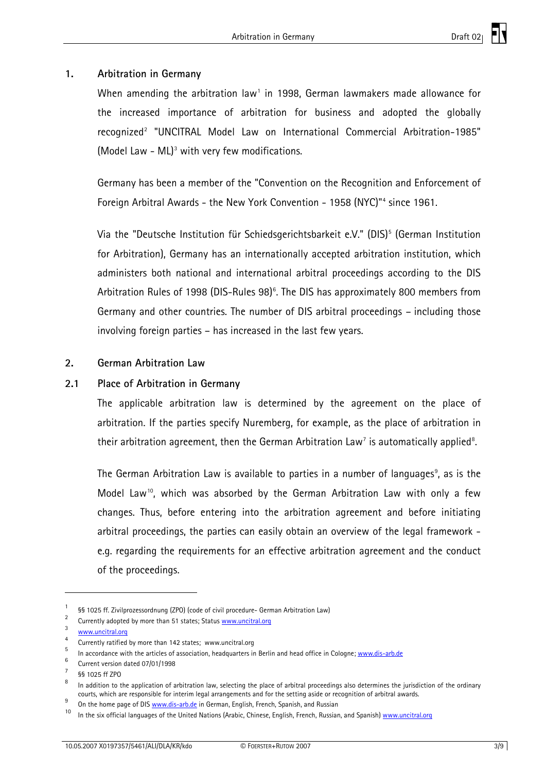# <span id="page-2-0"></span>**1. Arbitration in Germany**

When amending the arbitration law<sup>[1](#page-2-1)</sup> in 1998, German lawmakers made allowance for the increased importance of arbitration for business and adopted the globally recognized<sup>[2](#page-2-2)</sup> "UNCITRAL Model Law on International Commercial Arbitration-1985" (Model Law - ML) $<sup>3</sup>$  $<sup>3</sup>$  $<sup>3</sup>$  with very few modifications.</sup>

Germany has been a member of the "Convention on the Recognition and Enforcement of Foreign Arbitral Awards - the New York Convention - 1958 (NYC)"<sup>[4](#page-2-4)</sup> since 1961.

Via the "Deutsche Institution für Schiedsgerichtsbarkeit e.V." (DIS)<sup>[5](#page-2-5)</sup> (German Institution for Arbitration), Germany has an internationally accepted arbitration institution, which administers both national and international arbitral proceedings according to the DIS Arbitration Rules of 1998 (DIS-Rules 98)<sup>[6](#page-2-6)</sup>. The DIS has approximately 800 members from Germany and other countries. The number of DIS arbitral proceedings – including those involving foreign parties – has increased in the last few years.

#### **2. German Arbitration Law**

#### **2.1 Place of Arbitration in Germany**

The applicable arbitration law is determined by the agreement on the place of arbitration. If the parties specify Nuremberg, for example, as the place of arbitration in their arbitration agreement, then the German Arbitration Law<sup>[7](#page-2-7)</sup> is automatically applied<sup>[8](#page-2-8)</sup>.

The German Arbitration Law is available to parties in a number of languages $^{\circ}$ , as is the Model Law<sup>[10](#page-2-10)</sup>, which was absorbed by the German Arbitration Law with only a few changes. Thus, before entering into the arbitration agreement and before initiating arbitral proceedings, the parties can easily obtain an overview of the legal framework e.g. regarding the requirements for an effective arbitration agreement and the conduct of the proceedings.

1

<span id="page-2-1"></span><sup>1</sup> §§ 1025 ff. Zivilprozessordnung (ZPO) (code of civil procedure- German Arbitration Law) 2

<span id="page-2-2"></span><sup>&</sup>lt;sup>2</sup> Currently adopted by more than 51 states; Status  $\frac{www.uncitral.org}{3}$ 

<span id="page-2-3"></span>www.uncitral.org 4

Currently ratified by more than 142 states; www.uncitral.org

<span id="page-2-5"></span><span id="page-2-4"></span><sup>5</sup> In accordance with the articles of association, headquarters in Berlin and head office in Cologne; www.dis-arb.de

<span id="page-2-6"></span><sup>6</sup> Current version dated 07/01/1998

<span id="page-2-7"></span><sup>7</sup> §§ 1025 ff ZPO

<span id="page-2-8"></span><sup>8</sup> In addition to the application of arbitration law, selecting the place of arbitral proceedings also determines the jurisdiction of the ordinary courts, which are responsible for interim legal arrangements and for the setting aside or recognition of arbitral awards.<br><sup>9</sup> On the home page of DIS www.dis-arb.de in German, English, French, Spanish, and Russian

<span id="page-2-10"></span><span id="page-2-9"></span><sup>&</sup>lt;sup>10</sup> In the six official languages of the United Nations (Arabic, Chinese, English, French, Russian, and Spanish) www.uncitral.org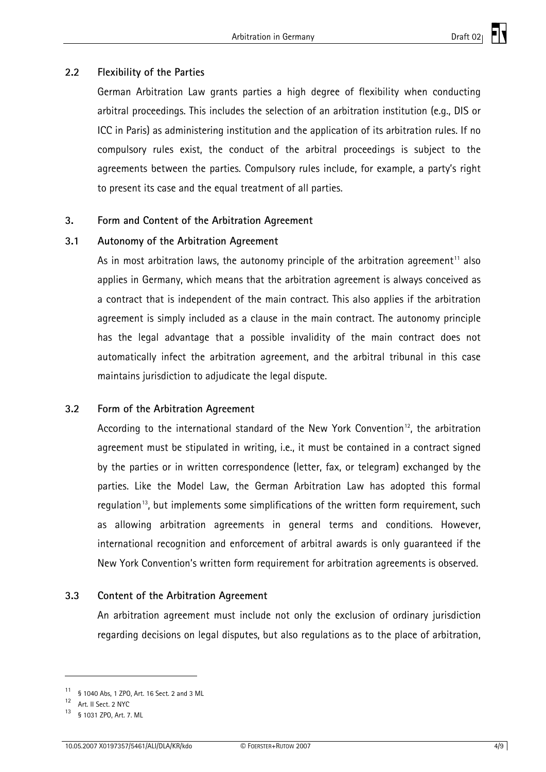# <span id="page-3-0"></span>**2.2 Flexibility of the Parties**

German Arbitration Law grants parties a high degree of flexibility when conducting arbitral proceedings. This includes the selection of an arbitration institution (e.g., DIS or ICC in Paris) as administering institution and the application of its arbitration rules. If no compulsory rules exist, the conduct of the arbitral proceedings is subject to the agreements between the parties. Compulsory rules include, for example, a party's right to present its case and the equal treatment of all parties.

## **3. Form and Content of the Arbitration Agreement**

## **3.1 Autonomy of the Arbitration Agreement**

As in most arbitration laws, the autonomy principle of the arbitration agreement<sup>[1](#page-3-1)1</sup> also applies in Germany, which means that the arbitration agreement is always conceived as a contract that is independent of the main contract. This also applies if the arbitration agreement is simply included as a clause in the main contract. The autonomy principle has the legal advantage that a possible invalidity of the main contract does not automatically infect the arbitration agreement, and the arbitral tribunal in this case maintains jurisdiction to adjudicate the legal dispute.

## **3.2 Form of the Arbitration Agreement**

According to the international standard of the New York Convention<sup>[1](#page-3-2)2</sup>, the arbitration agreement must be stipulated in writing, i.e., it must be contained in a contract signed by the parties or in written correspondence (letter, fax, or telegram) exchanged by the parties. Like the Model Law, the German Arbitration Law has adopted this formal regulation<sup>[1](#page-3-3)3</sup>, but implements some simplifications of the written form requirement, such as allowing arbitration agreements in general terms and conditions. However, international recognition and enforcement of arbitral awards is only guaranteed if the New York Convention's written form requirement for arbitration agreements is observed.

## **3.3 Content of the Arbitration Agreement**

An arbitration agreement must include not only the exclusion of ordinary jurisdiction regarding decisions on legal disputes, but also regulations as to the place of arbitration,

<span id="page-3-1"></span><sup>11 § 1040</sup> Abs, 1 ZPO, Art. 16 Sect. 2 and 3 ML

<span id="page-3-2"></span><sup>12</sup> Art. II Sect. 2 NYC

<span id="page-3-3"></span><sup>§ 1031</sup> ZPO, Art. 7. ML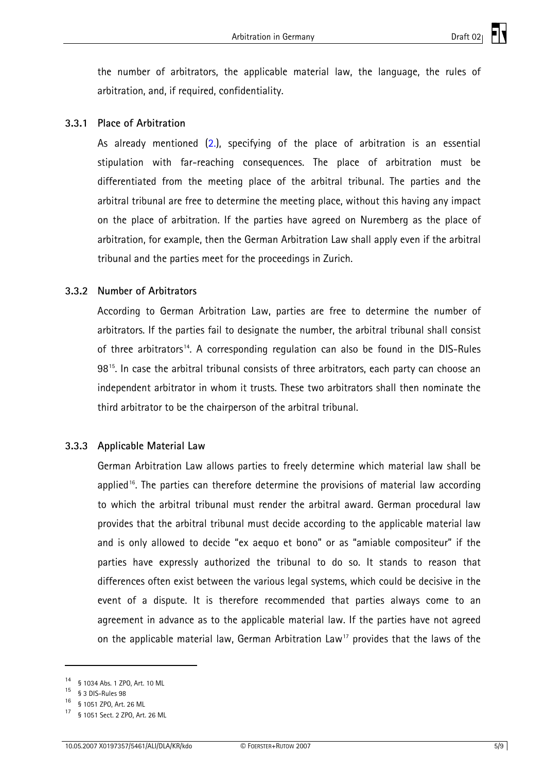<span id="page-4-0"></span>the number of arbitrators, the applicable material law, the language, the rules of arbitration, and, if required, confidentiality.

### **3.3.1 Place of Arbitration**

As already mentioned [\(2.\)](#page-2-0), specifying of the place of arbitration is an essential stipulation with far-reaching consequences. The place of arbitration must be differentiated from the meeting place of the arbitral tribunal. The parties and the arbitral tribunal are free to determine the meeting place, without this having any impact on the place of arbitration. If the parties have agreed on Nuremberg as the place of arbitration, for example, then the German Arbitration Law shall apply even if the arbitral tribunal and the parties meet for the proceedings in Zurich.

#### **3.3.2 Number of Arbitrators**

According to German Arbitration Law, parties are free to determine the number of arbitrators. If the parties fail to designate the number, the arbitral tribunal shall consist of three arbitrators<sup>[14](#page-4-1)</sup>. A corresponding regulation can also be found in the DIS-Rules 98[1](#page-4-2)5. In case the arbitral tribunal consists of three arbitrators, each party can choose an independent arbitrator in whom it trusts. These two arbitrators shall then nominate the third arbitrator to be the chairperson of the arbitral tribunal.

#### **3.3.3 Applicable Material Law**

German Arbitration Law allows parties to freely determine which material law shall be applied<sup>[1](#page-4-3)6</sup>. The parties can therefore determine the provisions of material law according to which the arbitral tribunal must render the arbitral award. German procedural law provides that the arbitral tribunal must decide according to the applicable material law and is only allowed to decide "ex aequo et bono" or as "amiable compositeur" if the parties have expressly authorized the tribunal to do so. It stands to reason that differences often exist between the various legal systems, which could be decisive in the event of a dispute. It is therefore recommended that parties always come to an agreement in advance as to the applicable material law. If the parties have not agreed on the applicable material law, German Arbitration Law<sup>[1](#page-4-4)7</sup> provides that the laws of the

<span id="page-4-1"></span><sup>14 § 1034</sup> Abs. 1 ZPO, Art. 10 ML

<span id="page-4-2"></span><sup>15 § 3</sup> DIS-Rules 98

<span id="page-4-3"></span><sup>16 § 1051</sup> ZPO, Art. 26 ML

<span id="page-4-4"></span><sup>§ 1051</sup> Sect. 2 ZPO, Art. 26 ML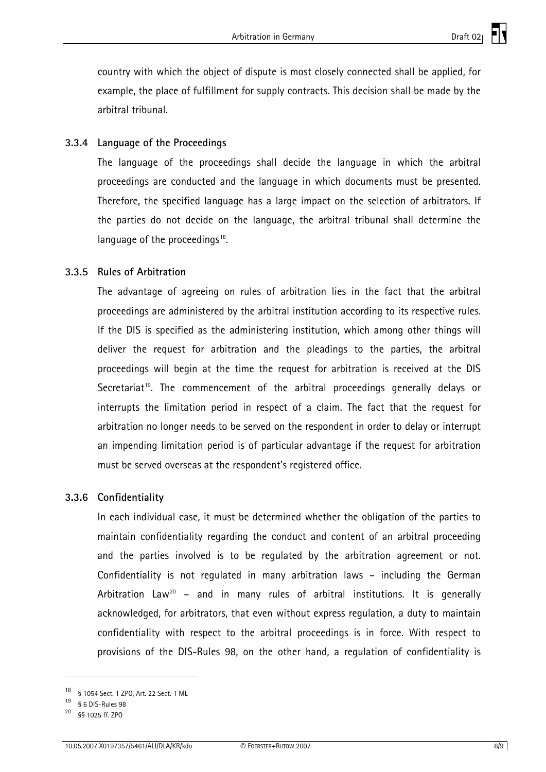<span id="page-5-0"></span>country with which the object of dispute is most closely connected shall be applied, for example, the place of fulfillment for supply contracts. This decision shall be made by the arbitral tribunal.

# **3.3.4 Language of the Proceedings**

The language of the proceedings shall decide the language in which the arbitral proceedings are conducted and the language in which documents must be presented. Therefore, the specified language has a large impact on the selection of arbitrators. If the parties do not decide on the language, the arbitral tribunal shall determine the language of the proceedings<sup>[1](#page-5-1)8</sup>.

## **3.3.5 Rules of Arbitration**

The advantage of agreeing on rules of arbitration lies in the fact that the arbitral proceedings are administered by the arbitral institution according to its respective rules. If the DIS is specified as the administering institution, which among other things will deliver the request for arbitration and the pleadings to the parties, the arbitral proceedings will begin at the time the request for arbitration is received at the DIS Secretariat<sup>[1](#page-5-2)9</sup>. The commencement of the arbitral proceedings generally delays or interrupts the limitation period in respect of a claim. The fact that the request for arbitration no longer needs to be served on the respondent in order to delay or interrupt an impending limitation period is of particular advantage if the request for arbitration must be served overseas at the respondent's registered office.

## **3.3.6 Confidentiality**

In each individual case, it must be determined whether the obligation of the parties to maintain confidentiality regarding the conduct and content of an arbitral proceeding and the parties involved is to be regulated by the arbitration agreement or not. Confidentiality is not regulated in many arbitration laws – including the German Arbitration Law<sup>[20](#page-5-3)</sup> – and in many rules of arbitral institutions. It is generally acknowledged, for arbitrators, that even without express regulation, a duty to maintain confidentiality with respect to the arbitral proceedings is in force. With respect to provisions of the DIS-Rules 98, on the other hand, a regulation of confidentiality is

<span id="page-5-1"></span><sup>18 § 1054</sup> Sect. 1 ZPO, Art. 22 Sect. 1 ML

<span id="page-5-2"></span><sup>19 § 6</sup> DIS-Rules 98

<span id="page-5-3"></span><sup>§§ 1025</sup> ff. ZPO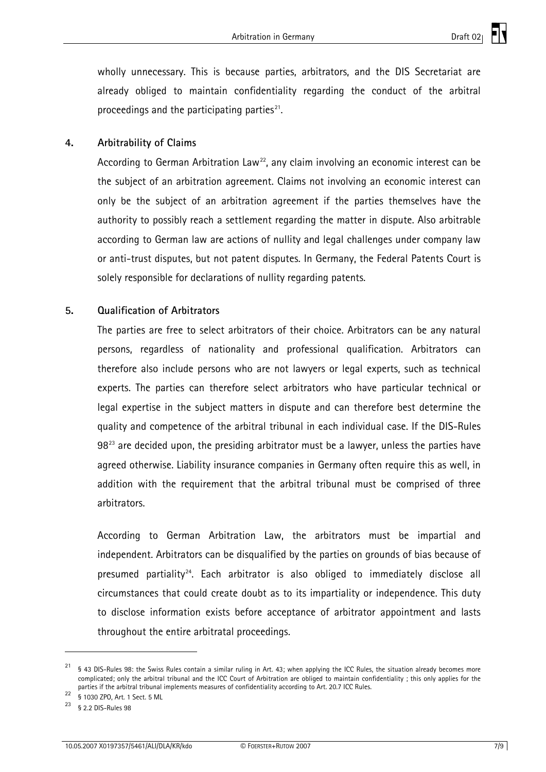<span id="page-6-0"></span>wholly unnecessary. This is because parties, arbitrators, and the DIS Secretariat are already obliged to maintain confidentiality regarding the conduct of the arbitral proceedings and the participating parties $21$ .

## **4. Arbitrability of Claims**

According to German Arbitration Law<sup>[22](#page-6-2)</sup>, any claim involving an economic interest can be the subject of an arbitration agreement. Claims not involving an economic interest can only be the subject of an arbitration agreement if the parties themselves have the authority to possibly reach a settlement regarding the matter in dispute. Also arbitrable according to German law are actions of nullity and legal challenges under company law or anti-trust disputes, but not patent disputes. In Germany, the Federal Patents Court is solely responsible for declarations of nullity regarding patents.

#### **5. Qualification of Arbitrators**

The parties are free to select arbitrators of their choice. Arbitrators can be any natural persons, regardless of nationality and professional qualification. Arbitrators can therefore also include persons who are not lawyers or legal experts, such as technical experts. The parties can therefore select arbitrators who have particular technical or legal expertise in the subject matters in dispute and can therefore best determine the quality and competence of the arbitral tribunal in each individual case. If the DIS-Rules  $98<sup>23</sup>$  $98<sup>23</sup>$  $98<sup>23</sup>$  are decided upon, the presiding arbitrator must be a lawyer, unless the parties have agreed otherwise. Liability insurance companies in Germany often require this as well, in addition with the requirement that the arbitral tribunal must be comprised of three arbitrators.

According to German Arbitration Law, the arbitrators must be impartial and independent. Arbitrators can be disqualified by the parties on grounds of bias because of presumed partiality<sup>[24](#page-6-4)</sup>. Each arbitrator is also obliged to immediately disclose all circumstances that could create doubt as to its impartiality or independence. This duty to disclose information exists before acceptance of arbitrator appointment and lasts throughout the entire arbitratal proceedings.

1

<span id="page-6-4"></span><span id="page-6-1"></span> $21$  § 43 DIS-Rules 98: the Swiss Rules contain a similar ruling in Art. 43; when applying the ICC Rules, the situation already becomes more complicated; only the arbitral tribunal and the ICC Court of Arbitration are obliged to maintain confidentiality ; this only applies for the parties if the arbitral tribunal implements measures of confidentiality according to Art. 20.7 ICC Rules.<br><sup>22</sup> § 1030 ZPO, Art. 1 Sect. 5 ML<br><sup>23</sup> § 9.9 DIS Prime 20.

<span id="page-6-2"></span>

<span id="page-6-3"></span><sup>§ 2.2</sup> DIS-Rules 98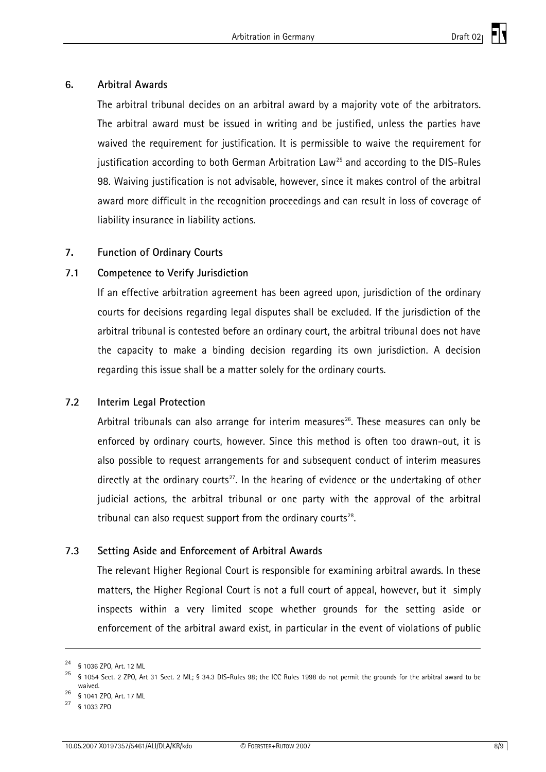### <span id="page-7-0"></span>**6. Arbitral Awards**

The arbitral tribunal decides on an arbitral award by a majority vote of the arbitrators. The arbitral award must be issued in writing and be justified, unless the parties have waived the requirement for justification. It is permissible to waive the requirement for justification according to both German Arbitration Law<sup>[2](#page-7-1)5</sup> and according to the DIS-Rules 98. Waiving justification is not advisable, however, since it makes control of the arbitral award more difficult in the recognition proceedings and can result in loss of coverage of liability insurance in liability actions.

# **7. Function of Ordinary Courts**

# **7.1 Competence to Verify Jurisdiction**

If an effective arbitration agreement has been agreed upon, jurisdiction of the ordinary courts for decisions regarding legal disputes shall be excluded. If the jurisdiction of the arbitral tribunal is contested before an ordinary court, the arbitral tribunal does not have the capacity to make a binding decision regarding its own jurisdiction. A decision regarding this issue shall be a matter solely for the ordinary courts.

## **7.2 Interim Legal Protection**

Arbitral tribunals can also arrange for interim measures<sup>[26](#page-7-2)</sup>. These measures can only be enforced by ordinary courts, however. Since this method is often too drawn-out, it is also possible to request arrangements for and subsequent conduct of interim measures directly at the ordinary courts<sup>[2](#page-7-3)7</sup>. In the hearing of evidence or the undertaking of other judicial actions, the arbitral tribunal or one party with the approval of the arbitral tribunal can also request support from the ordinary courts $^{28}$  $^{28}$  $^{28}$ .

# **7.3 Setting Aside and Enforcement of Arbitral Awards**

The relevant Higher Regional Court is responsible for examining arbitral awards. In these matters, the Higher Regional Court is not a full court of appeal, however, but it simply inspects within a very limited scope whether grounds for the setting aside or enforcement of the arbitral award exist, in particular in the event of violations of public

1

<span id="page-7-1"></span><sup>24 § 1036</sup> ZPO, Art. 12 ML

<sup>25 § 1054</sup> Sect. 2 ZPO, Art 31 Sect. 2 ML; § 34.3 DIS-Rules 98; the ICC Rules 1998 do not permit the grounds for the arbitral award to be waived.<br>§ 1041 ZPO, Art. 17 ML

<span id="page-7-4"></span><span id="page-7-2"></span>

<span id="page-7-3"></span><sup>27 § 1033</sup> ZPO